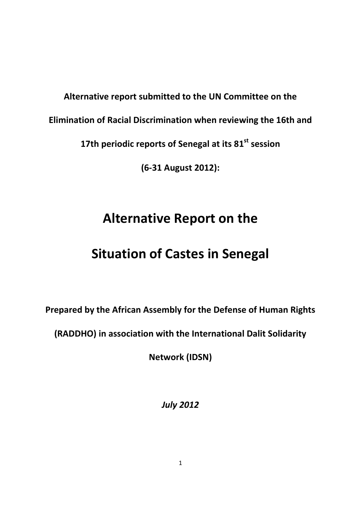**Alternative report submitted to the UN Committee on the** 

**Elimination of Racial Discrimination when reviewing the 16th and** 

17th periodic reports of Senegal at its 81<sup>st</sup> session

**(6-31 August 2012):**

# **Alternative Report on the**

# **Situation of Castes in Senegal**

**Prepared by the African Assembly for the Defense of Human Rights** 

**(RADDHO) in association with the International Dalit Solidarity** 

**Network (IDSN)** 

*July 2012*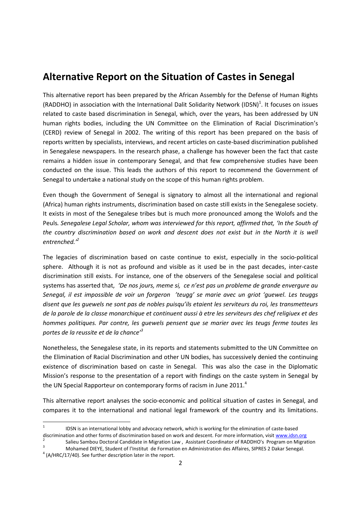# **Alternative Report on the Situation of Castes in Senegal**

This alternative report has been prepared by the African Assembly for the Defense of Human Rights (RADDHO) in association with the International Dalit Solidarity Network (IDSN)<sup>1</sup>. It focuses on issues related to caste based discrimination in Senegal, which, over the years, has been addressed by UN human rights bodies, including the UN Committee on the Elimination of Racial Discrimination's (CERD) review of Senegal in 2002. The writing of this report has been prepared on the basis of reports written by specialists, interviews, and recent articles on caste-based discrimination published in Senegalese newspapers. In the research phase, a challenge has however been the fact that caste remains a hidden issue in contemporary Senegal, and that few comprehensive studies have been conducted on the issue. This leads the authors of this report to recommend the Government of Senegal to undertake a national study on the scope of this human rights problem.

Even though the Government of Senegal is signatory to almost all the international and regional (Africa) human rights instruments, discrimination based on caste still exists in the Senegalese society. It exists in most of the Senegalese tribes but is much more pronounced among the Wolofs and the Peuls*. Senegalese Legal Scholar, whom was interviewed for this report, affirmed that, 'In the South of the country discrimination based on work and descent does not exist but in the North it is well entrenched.' 2*

The legacies of discrimination based on caste continue to exist, especially in the socio-political sphere. Although it is not as profound and visible as it used be in the past decades, inter-caste discrimination still exists. For instance, one of the observers of the Senegalese social and political systems has asserted that, *'De nos jours, meme si, ce n'est pas un probleme de grande envergure au Senegal, il est impossible de voir un forgeron 'teugg' se marie avec un griot 'guewel. Les teuggs disent que les guewels ne sont pas de nobles puisqu'ils etaient les serviteurs du roi, les transmetteurs de la parole de la classe monarchique et continuent aussi à etre les serviteurs des chef religiuex et des hommes politiques. Par contre, les guewels pensent que se marier avec les teugs ferme toutes les portes de la reussite et de la chance'<sup>3</sup>*

Nonetheless, the Senegalese state, in its reports and statements submitted to the UN Committee on the Elimination of Racial Discrimination and other UN bodies, has successively denied the continuing existence of discrimination based on caste in Senegal. This was also the case in the Diplomatic Mission's response to the presentation of a report with findings on the caste system in Senegal by the UN Special Rapporteur on contemporary forms of racism in June 2011.<sup>4</sup>

This alternative report analyses the socio-economic and political situation of castes in Senegal, and compares it to the international and national legal framework of the country and its limitations.

2 Salieu Sambou Doctoral Candidate in Migration Law , Assistant Coordinator of RADDHO's Program on Migration <sup>3</sup> Mohamed DIEYE, Student of l'Institut de Formation en Administration des Affaires, SIPRES 2 Dakar Senegal.

 $\frac{1}{1}$ IDSN is an international lobby and advocacy network, which is working for the elimination of caste-based discrimination and other forms of discrimination based on work and descent. For more information, visit [www.idsn.org](http://www.idsn.org/)

 $4$  (A/HRC/17/40). See further description later in the report.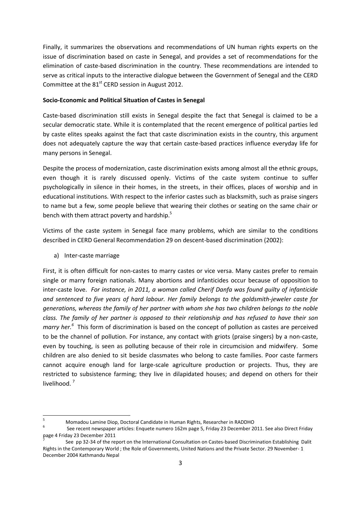Finally, it summarizes the observations and recommendations of UN human rights experts on the issue of discrimination based on caste in Senegal, and provides a set of recommendations for the elimination of caste-based discrimination in the country. These recommendations are intended to serve as critical inputs to the interactive dialogue between the Government of Senegal and the CERD Committee at the 81<sup>st</sup> CERD session in August 2012.

# **Socio-Economic and Political Situation of Castes in Senegal**

Caste-based discrimination still exists in Senegal despite the fact that Senegal is claimed to be a secular democratic state. While it is contemplated that the recent emergence of political parties led by caste elites speaks against the fact that caste discrimination exists in the country, this argument does not adequately capture the way that certain caste-based practices influence everyday life for many persons in Senegal.

Despite the process of modernization, caste discrimination exists among almost all the ethnic groups, even though it is rarely discussed openly. Victims of the caste system continue to suffer psychologically in silence in their homes, in the streets, in their offices, places of worship and in educational institutions. With respect to the inferior castes such as blacksmith, such as praise singers to name but a few, some people believe that wearing their clothes or seating on the same chair or bench with them attract poverty and hardship.<sup>5</sup>

Victims of the caste system in Senegal face many problems, which are similar to the conditions described in CERD General Recommendation 29 on descent-based discrimination (2002):

a) Inter-caste marriage

First, it is often difficult for non-castes to marry castes or vice versa. Many castes prefer to remain single or marry foreign nationals. Many abortions and infanticides occur because of opposition to inter-caste love. *For instance, in 2011, a woman called Cherif Danfa was found guilty of infanticide and sentenced to five years of hard labour. Her family belongs to the goldsmith-jeweler caste for generations, whereas the family of her partner with whom she has two children belongs to the noble class. The family of her partner is opposed to their relationship and has refused to have their son*  marry her.<sup>6</sup> This form of discrimination is based on the concept of pollution as castes are perceived to be the channel of pollution. For instance, any contact with griots (praise singers) by a non-caste, even by touching, is seen as polluting because of their role in circumcision and midwifery. Some children are also denied to sit beside classmates who belong to caste families. Poor caste farmers cannot acquire enough land for large-scale agriculture production or projects. Thus, they are restricted to subsistence farming; they live in dilapidated houses; and depend on others for their livelihood.<sup>7</sup>

 $\overline{\phantom{a}}$ <sup>5</sup> Momadou Lamine Diop, Doctoral Candidate in Human Rights, Researcher in RADDHO

<sup>6</sup> See recent newspaper articles: Enquete numero 162m page 5, Friday 23 December 2011. See also Direct Friday page 4 Friday 23 December 2011

<sup>7</sup> See pp 32-34 of the report on the International Consultation on Castes-based Discrimination Establishing Dalit Rights in the Contemporary World ; the Role of Governments, United Nations and the Private Sector. 29 November- 1 December 2004 Kathmandu Nepal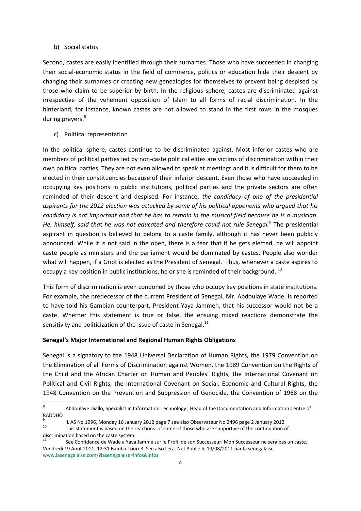# b) Social status

Second, castes are easily identified through their surnames. Those who have succeeded in changing their social-economic status in the field of commerce, politics or education hide their descent by changing their surnames or creating new genealogies for themselves to prevent being despised by those who claim to be superior by birth. In the religious sphere, castes are discriminated against irrespective of the vehement opposition of Islam to all forms of racial discrimination. In the hinterland, for instance, known castes are not allowed to stand in the first rows in the mosques during prayers.<sup>8</sup>

c) Political representation

In the political sphere, castes continue to be discriminated against. Most inferior castes who are members of political parties led by non-caste political elites are victims of discrimination within their own political parties. They are not even allowed to speak at meetings and it is difficult for them to be elected in their constituencies because of their inferior descent. Even those who have succeeded in occupying key positions in public institutions, political parties and the private sectors are often reminded of their descent and despised. For instance, *the candidacy of one of the presidential aspirants for the 2012 election was attacked by some of his political opponents who argued that his candidacy is not important and that he has to remain in the musical field because he is a musician. He, himself, said that he was not educated and therefore could not rule Senegal.<sup>9</sup>* The presidential aspirant in question is believed to belong to a caste family, although it has never been publicly announced. While it is not said in the open, there is a fear that if he gets elected, he will appoint caste people as ministers and the parliament would be dominated by castes. People also wonder what will happen, if a Griot is elected as the President of Senegal. Thus, whenever a caste aspires to occupy a key position in public institutions, he or she is reminded of their background.<sup>10</sup>

This form of discrimination is even condoned by those who occupy key positions in state institutions. For example, the predecessor of the current President of Senegal, Mr. Abdoulaye Wade, is reported to have told his Gambian counterpart, President Yaya Jammeh, that his successor would not be a caste. Whether this statement is true or false, the ensuing mixed reactions demonstrate the sensitivity and politicization of the issue of caste in Senegal. $^{11}$ 

# **Senegal's Major International and Regional Human Rights Obligations**

Senegal is a signatory to the 1948 Universal Declaration of Human Rights, the 1979 Convention on the Elimination of all Forms of Discrimination against Women, the 1989 Convention on the Rights of the Child and the African Charter on Human and Peoples' Rights, the International Covenant on Political and Civil Rights, the International Covenant on Social, Economic and Cultural Rights, the 1948 Convention on the Prevention and Suppression of Genocide, the Convention of 1968 on the

<sup>-&</sup>lt;br>8 Abdoulaye Diallo, Specialist in Information Technology , Head of the Documentation and Information Centre of RADDHO

<sup>9</sup> L AS No 1996, Monday 16 January 2012 page 7 see also Observateur No 2496 page 2 January 2012

<sup>10</sup> This statement is based on the reactions of some of those who are supportive of the continuation of discrimination based on the caste system

See Confidence de Wade a Yaya Jamme sur le Profil de son Successeur: Mon Successeur ne sera pas un caste, Vendredi 19 Aout 2011 -12:31 Bamba Toure3. See also Lera. Net Publie le 19/08/2011 par la senegalaise. www.lasenegalaise.com/?lasenegalaise=infos&infos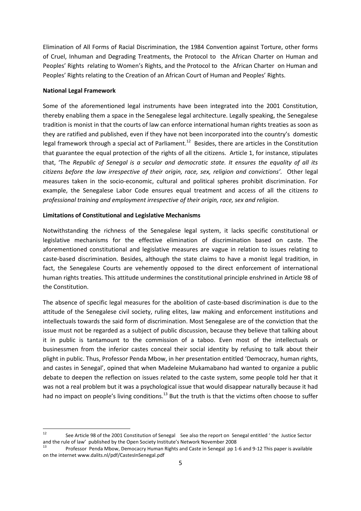Elimination of All Forms of Racial Discrimination, the 1984 Convention against Torture, other forms of Cruel, Inhuman and Degrading Treatments, the Protocol to the African Charter on Human and Peoples' Rights relating to Women's Rights, and the Protocol to the African Charter on Human and Peoples' Rights relating to the Creation of an African Court of Human and Peoples' Rights.

# **National Legal Framework**

Some of the aforementioned legal instruments have been integrated into the 2001 Constitution, thereby enabling them a space in the Senegalese legal architecture. Legally speaking, the Senegalese tradition is monist in that the courts of law can enforce international human rights treaties as soon as they are ratified and published, even if they have not been incorporated into the country's domestic legal framework through a special act of Parliament.<sup>12</sup> Besides, there are articles in the Constitution that guarantee the equal protection of the rights of all the citizens. Article 1, for instance, stipulates that, 'The *Republic of Senegal is a secular and democratic state. It ensures the equality of all its citizens before the law irrespective of their origin, race, sex, religion and convictions'.* Other legal measures taken in the socio-economic, cultural and political spheres prohibit discrimination. For example, the Senegalese Labor Code ensures equal treatment and access of all the citizens *to professional training and employment irrespective of their origin, race, sex and religion*.

### **Limitations of Constitutional and Legislative Mechanisms**

Notwithstanding the richness of the Senegalese legal system, it lacks specific constitutional or legislative mechanisms for the effective elimination of discrimination based on caste. The aforementioned constitutional and legislative measures are vague in relation to issues relating to caste-based discrimination. Besides, although the state claims to have a monist legal tradition, in fact, the Senegalese Courts are vehemently opposed to the direct enforcement of international human rights treaties. This attitude undermines the constitutional principle enshrined in Article 98 of the Constitution.

The absence of specific legal measures for the abolition of caste-based discrimination is due to the attitude of the Senegalese civil society, ruling elites, law making and enforcement institutions and intellectuals towards the said form of discrimination. Most Senegalese are of the conviction that the issue must not be regarded as a subject of public discussion, because they believe that talking about it in public is tantamount to the commission of a taboo. Even most of the intellectuals or businessmen from the inferior castes conceal their social identity by refusing to talk about their plight in public. Thus, Professor Penda Mbow, in her presentation entitled 'Democracy, human rights, and castes in Senegal', opined that when Madeleine Mukamabano had wanted to organize a public debate to deepen the reflection on issues related to the caste system, some people told her that it was not a real problem but it was a psychological issue that would disappear naturally because it had had no impact on people's living conditions.<sup>13</sup> But the truth is that the victims often choose to suffer

 $12$ <sup>12</sup> See Article 98 of the 2001 Constitution of Senegal See also the report on Senegal entitled ' the Justice Sector and the rule of law' published by the Open Society Institute's Network November 2008

<sup>13</sup> Professor Penda Mbow, Democacry Human Rights and Caste in Senegal pp 1-6 and 9-12 This paper is available on the internet www.dalits.nl/pdf/CastesInSenegal.pdf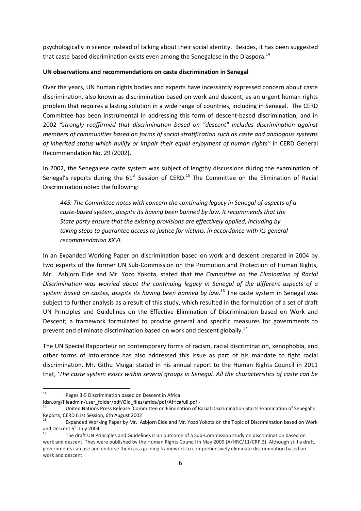psychologically in silence instead of talking about their social identity. Besides, it has been suggested that caste based discrimination exists even among the Senegalese in the Diaspora.<sup>14</sup>

#### **UN observations and recommendations on caste discrimination in Senegal**

Over the years, UN human rights bodies and experts have incessantly expressed concern about caste discrimination, also known as discrimination based on work and descent, as an urgent human rights problem that requires a lasting solution in a wide range of countries, including in Senegal. The CERD Committee has been instrumental in addressing this form of descent-based discrimination, and in 2002 *"strongly reaffirmed that discrimination based on "descent" includes discrimination against members of communities based on forms of social stratification such as caste and analogous systems of inherited status which nullify or impair their equal enjoyment of human rights"* in CERD General Recommendation No. 29 (2002).

In 2002, the Senegalese caste system was subject of lengthy discussions during the examination of Senegal's reports during the  $61<sup>st</sup>$  Session of CERD.<sup>15</sup> The Committee on the Elimination of Racial Discrimination noted the following:

*445. The Committee notes with concern the continuing legacy in Senegal of aspects of a caste-based system, despite its having been banned by law. It recommends that the State party ensure that the existing provisions are effectively applied, including by*  taking steps to quarantee access to justice for victims, in accordance with its general *[recommendation XXVI.](http://www.unhchr.ch/tbs/doc.nsf/%28Symbol%29/f0902ff29d93de59c1256c6a00378d1f?Opendocument)*

In an Expanded Working Paper on discrimination based on work and descent prepared in 2004 by two experts of the former UN Sub-Commission on the Promotion and Protection of Human Rights, Mr. Asbjorn Eide and Mr. Yozo Yokota, stated that *the Committee on the Elimination of Racial Discrimination was worried about the continuing legacy in Senegal of the different aspects of a system based on castes, despite its having been banned by law*. <sup>16</sup> The caste system in Senegal was subject to further analysis as a result of this study, which resulted in the formulation of a set of draft UN Principles and Guidelines on the Effective Elimination of Discrimination based on Work and Descent; a framework formulated to provide general and specific measures for governments to prevent and eliminate discrimination based on work and descent globally.<sup>17</sup>

The UN Special Rapporteur on contemporary forms of racism, racial discrimination, xenophobia, and other forms of intolerance has also addressed this issue as part of his mandate to fight racial discrimination. Mr. Githu Muigai stated in his annual report to the Human Rights Council in 2011 that, '*The caste system exists within several groups in Senegal. All the characteristics of caste can be* 

<sup>14</sup> Pages 3-5 Discrimination based on Descent in Africa:

idsn.org/fileadmin/user\_folder/pdf/Old\_files/africa/pdf/Africafull.pdf -

<sup>15</sup> United Nations Press Release 'Committee on Elimination of Racial Discrimination Starts Examination of Senegal's Reports, CERD 61st Session, 6th August 2002

<sup>16</sup> Expanded Working Paper by Mr. Asbjorn Eide and Mr. Yozo Yokota on the Topic of Discrimination based on Work and Descent 5<sup>th</sup> July 2004

<sup>17</sup> The draft UN Principles and Guidelines is an outcome of a Sub-Commission study on discrimination based on work and descent. They were published by the Human Rights Council in May 2009 (A/HRC/11/CRP.3). Although still a draft, governments can use and endorse them as a guiding framework to comprehensively eliminate discrimination based on work and descent.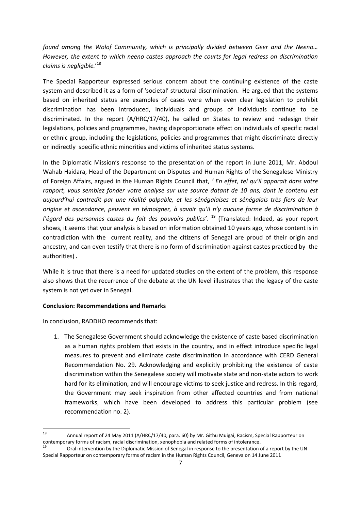*found among the Wolof Community, which is principally divided between Geer and the Neeno… However, the extent to which neeno castes approach the courts for legal redress on discrimination claims is negligible.*' 18

The Special Rapporteur expressed serious concern about the continuing existence of the caste system and described it as a form of 'societal' structural discrimination. He argued that the systems based on inherited status are examples of cases were when even clear legislation to prohibit discrimination has been introduced, individuals and groups of individuals continue to be discriminated. In the report (A/HRC/17/40), he called on States to review and redesign their legislations, policies and programmes, having disproportionate effect on individuals of specific racial or ethnic group, including the legislations, policies and programmes that might discriminate directly or indirectly specific ethnic minorities and victims of inherited status systems.

In the Diplomatic Mission's response to the presentation of the report in June 2011, Mr. Abdoul Wahab Haidara, Head of the Department on Disputes and Human Rights of the Senegalese Ministry of Foreign Affairs, argued in the Human Rights Council that, *' En effet, tel qu'il apparait dans votre rapport, vous semblez fonder votre analyse sur une source datant de 10 ans, dont le contenu est aujourd'hui contredit par une réalité palpable, et les sénégalaises et sénégalais très fiers de leur origine et ascendance, peuvent en témoigner, à savoir qu'il n'y aucune forme de discrimination à l'égard des personnes castes du fait des pouvoirs publics'.* <sup>19</sup> (Translated: Indeed, as your report shows, it seems that your analysis is based on information obtained 10 years ago, whose content is in contradiction with the current reality, and the citizens of Senegal are proud of their origin and ancestry, and can even testify that there is no form of discrimination against castes practiced by the authorities) *.*

While it is true that there is a need for updated studies on the extent of the problem, this response also shows that the recurrence of the debate at the UN level illustrates that the legacy of the caste system is not yet over in Senegal.

# **Conclusion: Recommendations and Remarks**

In conclusion, RADDHO recommends that:

1. The Senegalese Government should acknowledge the existence of caste based discrimination as a human rights problem that exists in the country, and in effect introduce specific legal measures to prevent and eliminate caste discrimination in accordance with CERD General Recommendation No. 29. Acknowledging and explicitly prohibiting the existence of caste discrimination within the Senegalese society will motivate state and non-state actors to work hard for its elimination, and will encourage victims to seek justice and redress. In this regard, the Government may seek inspiration from other affected countries and from national frameworks, which have been developed to address this particular problem (see recommendation no. 2).

 $\frac{1}{18}$  Annual report of 24 May 2011 (A/HRC/17/40, para. 60) by Mr. Githu Muigai, Racism, Special Rapporteur on contemporary forms of racism, racial discrimination, xenophobia and related forms of intolerance. 19

Oral intervention by the Diplomatic Mission of Senegal in response to the presentation of a report by the UN Special Rapporteur on contemporary forms of racism in the Human Rights Council, Geneva on 14 June 2011